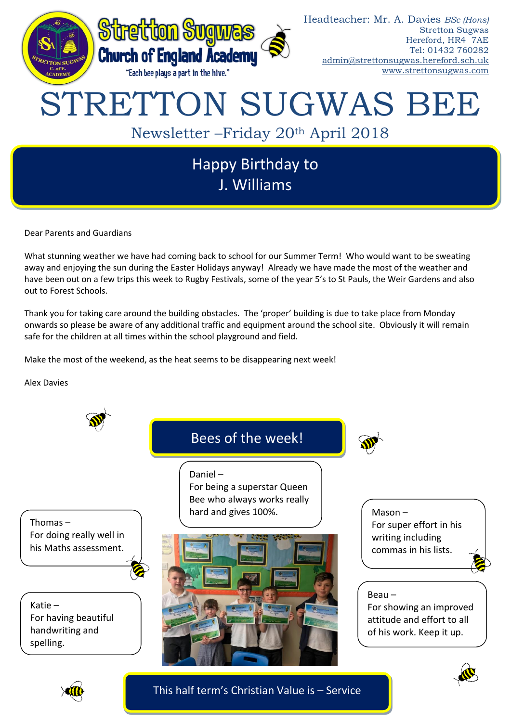

J. Williams

Dear Parents and Guardians

What stunning weather we have had coming back to school for our Summer Term! Who would want to be sweating away and enjoying the sun during the Easter Holidays anyway! Already we have made the most of the weather and have been out on a few trips this week to Rugby Festivals, some of the year 5's to St Pauls, the Weir Gardens and also out to Forest Schools.

Thank you for taking care around the building obstacles. The 'proper' building is due to take place from Monday onwards so please be aware of any additional traffic and equipment around the school site. Obviously it will remain safe for the children at all times within the school playground and field.

Make the most of the weekend, as the heat seems to be disappearing next week!

Alex Davies



This half term's Christian Value is – Service